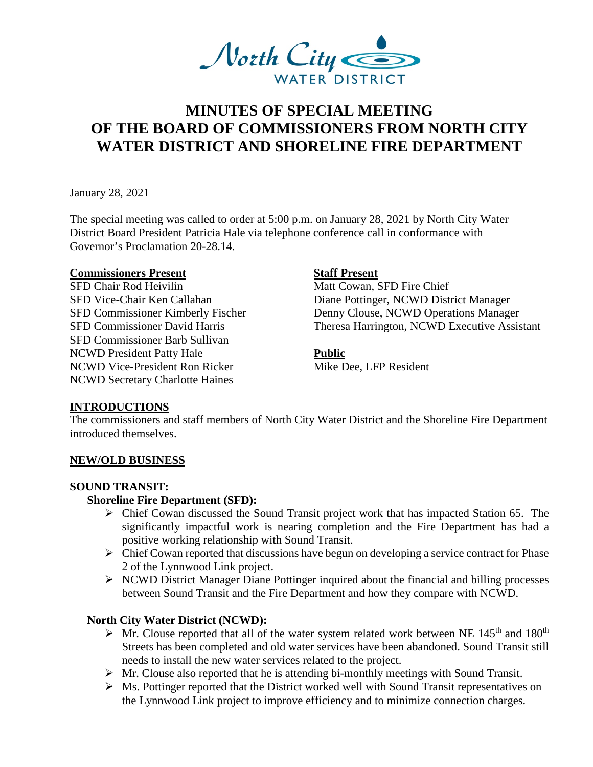

# **MINUTES OF SPECIAL MEETING OF THE BOARD OF COMMISSIONERS FROM NORTH CITY WATER DISTRICT AND SHORELINE FIRE DEPARTMENT**

January 28, 2021

The special meeting was called to order at 5:00 p.m. on January 28, 2021 by North City Water District Board President Patricia Hale via telephone conference call in conformance with Governor's Proclamation 20-28.14.

#### **Commissioners Present Staff Present**

SFD Chair Rod Heivilin Matt Cowan, SFD Fire Chief SFD Commissioner Barb Sullivan NCWD President Patty Hale **Public** NCWD Vice-President Ron Ricker Mike Dee, LFP Resident NCWD Secretary Charlotte Haines

SFD Vice-Chair Ken Callahan Diane Pottinger, NCWD District Manager SFD Commissioner Kimberly Fischer Denny Clouse, NCWD Operations Manager SFD Commissioner David Harris Theresa Harrington, NCWD Executive Assistant

### **INTRODUCTIONS**

The commissioners and staff members of North City Water District and the Shoreline Fire Department introduced themselves.

### **NEW/OLD BUSINESS**

### **SOUND TRANSIT:**

### **Shoreline Fire Department (SFD):**

- Chief Cowan discussed the Sound Transit project work that has impacted Station 65. The significantly impactful work is nearing completion and the Fire Department has had a positive working relationship with Sound Transit.
- $\triangleright$  Chief Cowan reported that discussions have begun on developing a service contract for Phase 2 of the Lynnwood Link project.
- $\triangleright$  NCWD District Manager Diane Pottinger inquired about the financial and billing processes between Sound Transit and the Fire Department and how they compare with NCWD.

### **North City Water District (NCWD):**

- $\triangleright$  Mr. Clouse reported that all of the water system related work between NE 145<sup>th</sup> and 180<sup>th</sup> Streets has been completed and old water services have been abandoned. Sound Transit still needs to install the new water services related to the project.
- $\triangleright$  Mr. Clouse also reported that he is attending bi-monthly meetings with Sound Transit.
- Ms. Pottinger reported that the District worked well with Sound Transit representatives on the Lynnwood Link project to improve efficiency and to minimize connection charges.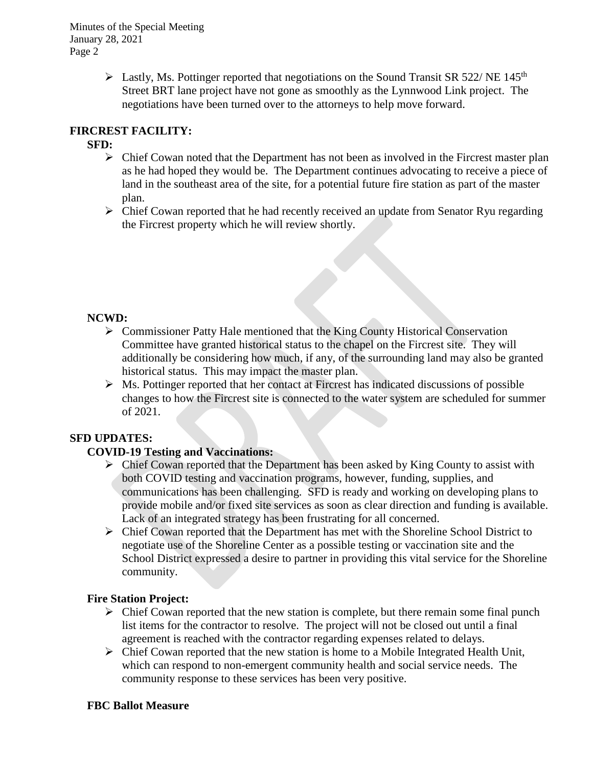Minutes of the Special Meeting January 28, 2021 Page 2

> $\triangleright$  Lastly, Ms. Pottinger reported that negotiations on the Sound Transit SR 522/ NE 145<sup>th</sup> Street BRT lane project have not gone as smoothly as the Lynnwood Link project. The negotiations have been turned over to the attorneys to help move forward.

# **FIRCREST FACILITY:**

# **SFD:**

- $\triangleright$  Chief Cowan noted that the Department has not been as involved in the Fircrest master plan as he had hoped they would be. The Department continues advocating to receive a piece of land in the southeast area of the site, for a potential future fire station as part of the master plan.
- $\triangleright$  Chief Cowan reported that he had recently received an update from Senator Ryu regarding the Fircrest property which he will review shortly.

# **NCWD:**

- Commissioner Patty Hale mentioned that the King County Historical Conservation Committee have granted historical status to the chapel on the Fircrest site. They will additionally be considering how much, if any, of the surrounding land may also be granted historical status. This may impact the master plan.
- $\triangleright$  Ms. Pottinger reported that her contact at Fircrest has indicated discussions of possible changes to how the Fircrest site is connected to the water system are scheduled for summer of 2021.

# **SFD UPDATES:**

# **COVID-19 Testing and Vaccinations:**

- $\triangleright$  Chief Cowan reported that the Department has been asked by King County to assist with both COVID testing and vaccination programs, however, funding, supplies, and communications has been challenging. SFD is ready and working on developing plans to provide mobile and/or fixed site services as soon as clear direction and funding is available. Lack of an integrated strategy has been frustrating for all concerned.
- Chief Cowan reported that the Department has met with the Shoreline School District to negotiate use of the Shoreline Center as a possible testing or vaccination site and the School District expressed a desire to partner in providing this vital service for the Shoreline community.

# **Fire Station Project:**

- $\triangleright$  Chief Cowan reported that the new station is complete, but there remain some final punch list items for the contractor to resolve. The project will not be closed out until a final agreement is reached with the contractor regarding expenses related to delays.
- $\triangleright$  Chief Cowan reported that the new station is home to a Mobile Integrated Health Unit, which can respond to non-emergent community health and social service needs. The community response to these services has been very positive.

### **FBC Ballot Measure**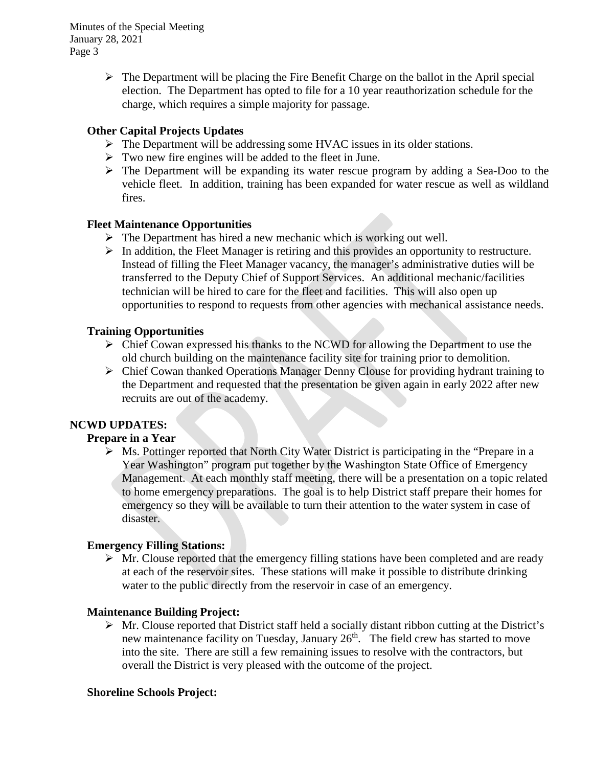Minutes of the Special Meeting January 28, 2021 Page 3

> $\triangleright$  The Department will be placing the Fire Benefit Charge on the ballot in the April special election. The Department has opted to file for a 10 year reauthorization schedule for the charge, which requires a simple majority for passage.

# **Other Capital Projects Updates**

- $\triangleright$  The Department will be addressing some HVAC issues in its older stations.
- $\triangleright$  Two new fire engines will be added to the fleet in June.
- The Department will be expanding its water rescue program by adding a Sea-Doo to the vehicle fleet. In addition, training has been expanded for water rescue as well as wildland fires.

# **Fleet Maintenance Opportunities**

- $\triangleright$  The Department has hired a new mechanic which is working out well.
- $\triangleright$  In addition, the Fleet Manager is retiring and this provides an opportunity to restructure. Instead of filling the Fleet Manager vacancy, the manager's administrative duties will be transferred to the Deputy Chief of Support Services. An additional mechanic/facilities technician will be hired to care for the fleet and facilities. This will also open up opportunities to respond to requests from other agencies with mechanical assistance needs.

### **Training Opportunities**

- $\triangleright$  Chief Cowan expressed his thanks to the NCWD for allowing the Department to use the old church building on the maintenance facility site for training prior to demolition.
- $\triangleright$  Chief Cowan thanked Operations Manager Denny Clouse for providing hydrant training to the Department and requested that the presentation be given again in early 2022 after new recruits are out of the academy.

# **NCWD UPDATES:**

# **Prepare in a Year**

 $\triangleright$  Ms. Pottinger reported that North City Water District is participating in the "Prepare in a Year Washington" program put together by the Washington State Office of Emergency Management. At each monthly staff meeting, there will be a presentation on a topic related to home emergency preparations. The goal is to help District staff prepare their homes for emergency so they will be available to turn their attention to the water system in case of disaster.

### **Emergency Filling Stations:**

 $\triangleright$  Mr. Clouse reported that the emergency filling stations have been completed and are ready at each of the reservoir sites. These stations will make it possible to distribute drinking water to the public directly from the reservoir in case of an emergency.

### **Maintenance Building Project:**

 $\triangleright$  Mr. Clouse reported that District staff held a socially distant ribbon cutting at the District's new maintenance facility on Tuesday, January 26<sup>th</sup>. The field crew has started to move into the site. There are still a few remaining issues to resolve with the contractors, but overall the District is very pleased with the outcome of the project.

### **Shoreline Schools Project:**